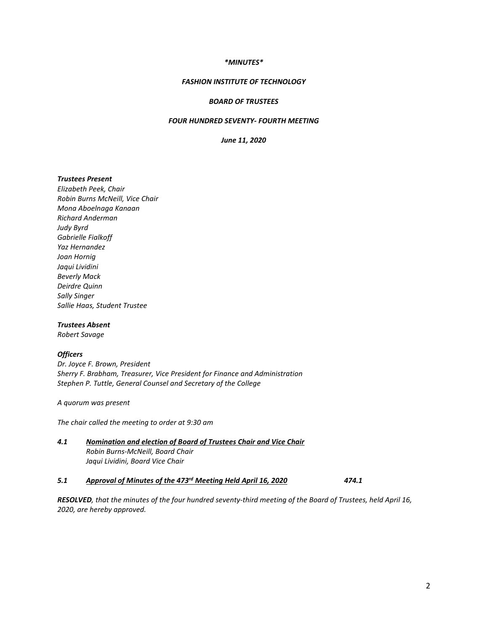#### *\*MINUTES\**

## *FASHION INSTITUTE OF TECHNOLOGY*

### *BOARD OF TRUSTEES*

## *FOUR HUNDRED SEVENTY- FOURTH MEETING*

*June 11, 2020*

#### *Trustees Present*

*Elizabeth Peek, Chair Robin Burns McNeill, Vice Chair Mona Aboelnaga Kanaan Richard Anderman Judy Byrd Gabrielle Fialkoff Yaz Hernandez Joan Hornig Jaqui Lividini Beverly Mack Deirdre Quinn Sally Singer Sallie Haas, Student Trustee*

### *Trustees Absent*

*Robert Savage*

# *Officers*

*Dr. Joyce F. Brown, President Sherry F. Brabham, Treasurer, Vice President for Finance and Administration Stephen P. Tuttle, General Counsel and Secretary of the College*

*A quorum was present*

*The chair called the meeting to order at 9:30 am*

# *4.1 Nomination and election of Board of Trustees Chair and Vice Chair Robin Burns-McNeill, Board Chair Jaqui Lividini, Board Vice Chair*

#### *5.1 Approval of Minutes of the 473rd Meeting Held April 16, 2020 474.1*

*RESOLVED, that the minutes of the four hundred seventy-third meeting of the Board of Trustees, held April 16, 2020, are hereby approved.*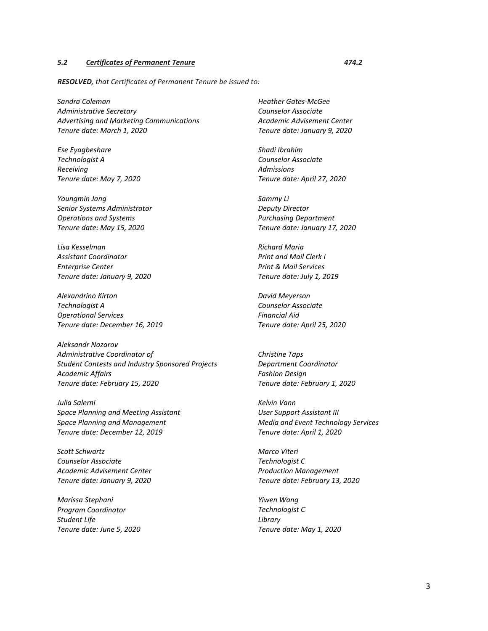### *5.2 Certificates of Permanent Tenure 474.2*

*RESOLVED, that Certificates of Permanent Tenure be issued to:*

*Sandra Coleman Administrative Secretary Advertising and Marketing Communications Tenure date: March 1, 2020*

*Ese Eyagbeshare Technologist A Receiving Tenure date: May 7, 2020*

*Youngmin Jang Senior Systems Administrator Operations and Systems Tenure date: May 15, 2020* 

*Lisa Kesselman Assistant Coordinator Enterprise Center Tenure date: January 9, 2020*

*Alexandrino Kirton Technologist A Operational Services Tenure date: December 16, 2019*

*Aleksandr Nazarov Administrative Coordinator of Student Contests and Industry Sponsored Projects Academic Affairs Tenure date: February 15, 2020*

*Julia Salerni Space Planning and Meeting Assistant Space Planning and Management Tenure date: December 12, 2019*

*Scott Schwartz Counselor Associate Academic Advisement Center Tenure date: January 9, 2020*

*Marissa Stephani Program Coordinator Student Life Tenure date: June 5, 2020* *Heather Gates-McGee Counselor Associate Academic Advisement Center Tenure date: January 9, 2020* 

*Shadi Ibrahim Counselor Associate Admissions Tenure date: April 27, 2020*

*Sammy Li Deputy Director Purchasing Department Tenure date: January 17, 2020*

*Richard Maria Print and Mail Clerk I Print & Mail Services Tenure date: July 1, 2019*

*David Meyerson Counselor Associate Financial Aid Tenure date: April 25, 2020*

*Christine Taps Department Coordinator Fashion Design Tenure date: February 1, 2020*

*Kelvin Vann User Support Assistant III Media and Event Technology Services Tenure date: April 1, 2020*

*Marco Viteri Technologist C Production Management Tenure date: February 13, 2020*

*Yiwen Wang Technologist C Library Tenure date: May 1, 2020*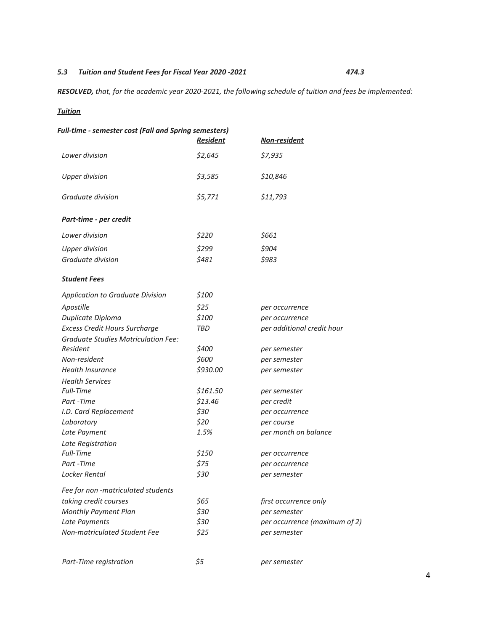# *5.3 Tuition and Student Fees for Fiscal Year 2020 -2021 474.3*

*RESOLVED, that, for the academic year 2020-2021, the following schedule of tuition and fees be implemented:*

# *Tuition*

| Full-time - semester cost (Fall and Spring semesters) | <b>Resident</b> | Non-resident                  |
|-------------------------------------------------------|-----------------|-------------------------------|
| Lower division                                        | \$2,645         | \$7,935                       |
| <b>Upper division</b>                                 | \$3,585         | \$10,846                      |
| Graduate division                                     | \$5,771         | \$11,793                      |
| Part-time - per credit                                |                 |                               |
| Lower division                                        | \$220           | \$661                         |
| <b>Upper division</b>                                 | \$299           | \$904                         |
| Graduate division                                     | \$481           | \$983                         |
| <b>Student Fees</b>                                   |                 |                               |
| Application to Graduate Division                      | \$100           |                               |
| Apostille                                             | \$25            | per occurrence                |
| Duplicate Diploma                                     | \$100           | per occurrence                |
| <b>Excess Credit Hours Surcharge</b>                  | TBD             | per additional credit hour    |
| <b>Graduate Studies Matriculation Fee:</b>            |                 |                               |
| Resident                                              | \$400           | per semester                  |
| Non-resident                                          | \$600           | per semester                  |
| Health Insurance                                      | \$930.00        | per semester                  |
| <b>Health Services</b>                                |                 |                               |
| <b>Full-Time</b>                                      | \$161.50        | per semester                  |
| Part -Time                                            | \$13.46         | per credit                    |
| I.D. Card Replacement                                 | \$30            | per occurrence                |
| Laboratory                                            | \$20            | per course                    |
| Late Payment                                          | 1.5%            | per month on balance          |
| Late Registration                                     |                 |                               |
| Full-Time                                             | \$150           | per occurrence                |
| Part-Time                                             | \$75            | per occurrence                |
| Locker Rental                                         | \$30            | per semester                  |
| Fee for non -matriculated students                    |                 |                               |
| taking credit courses                                 | \$65            | first occurrence only         |
| Monthly Payment Plan                                  | \$30            | per semester                  |
| Late Payments                                         | \$30            | per occurrence (maximum of 2) |
| Non-matriculated Student Fee                          | \$25            | per semester                  |
| Part-Time registration                                | \$5             | per semester                  |
|                                                       |                 |                               |